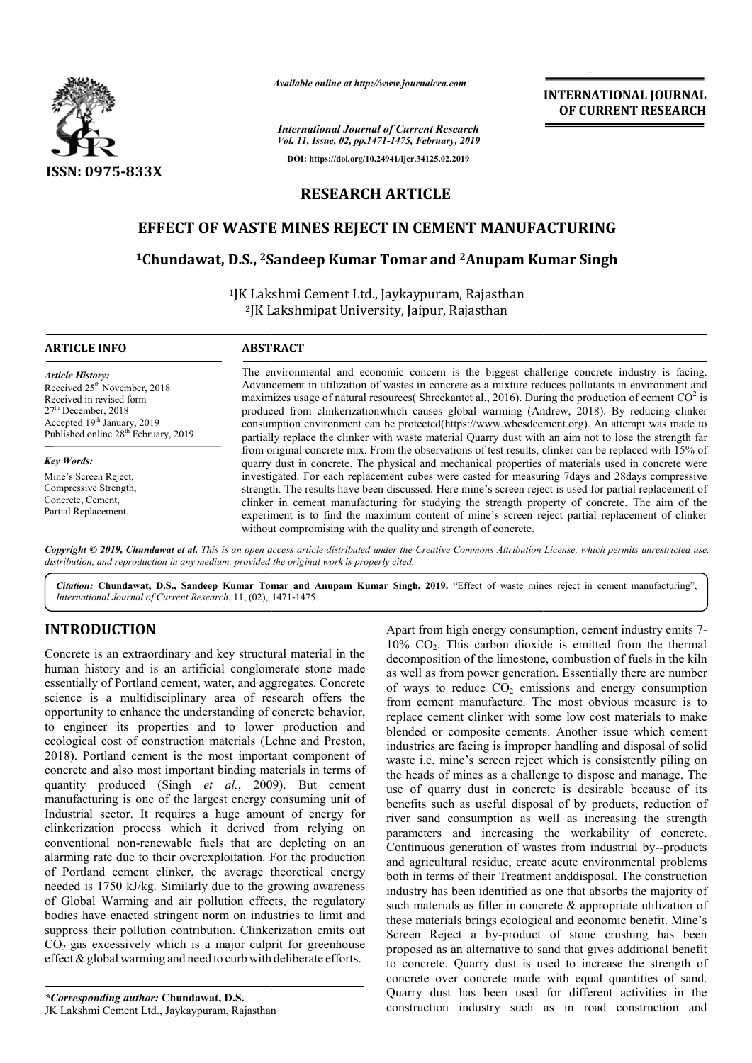

*Available online at http://www.journalcra.com*

*International Journal of Current Research Vol. 11, Issue, 02, pp.1471-1475, February, 2019* **DOI: https://doi.org/10.24941/ijcr.34125.02.2019**

# **INTERNATIONAL JOURNAL OF CURRENT RESEARCH**

# **RESEARCH ARTICLE**

# EFFECT OF WASTE MINES REJECT IN CEMENT MANUFACTURING<br><sup>1</sup>Chundawat, D.S., <sup>2</sup>Sandeep Kumar Tomar and <sup>2</sup>Anupam Kumar Singh **1Chundawat, D.S., 2Sandeep Kumar Tomar and Sandeep 2Anupam Kumar Singh**

<sup>1</sup>JK Lakshmi Cement Ltd., Jaykaypuram, Rajasthan <sup>2</sup>JK Lakshmipat University, Jaipur, Rajasthan

| <b>ARTICLE INFO</b>                                                                                                                                                                                         | <b>ABSTRACT</b>                                                                                                                                                                                                                                                                                                                                                                                                                                                                                                                                                                                                          |
|-------------------------------------------------------------------------------------------------------------------------------------------------------------------------------------------------------------|--------------------------------------------------------------------------------------------------------------------------------------------------------------------------------------------------------------------------------------------------------------------------------------------------------------------------------------------------------------------------------------------------------------------------------------------------------------------------------------------------------------------------------------------------------------------------------------------------------------------------|
| <b>Article History:</b><br>Received 25 <sup>th</sup> November, 2018<br>Received in revised form<br>$27th$ December, 2018<br>Accepted 19th January, 2019<br>Published online 28 <sup>th</sup> February, 2019 | The environmental and economic concern is the biggest challenge concrete industry is facing.<br>Advancement in utilization of wastes in concrete as a mixture reduces pollutants in environment and<br>maximizes usage of natural resources( Shreekantet al., 2016). During the production of cement $CO2$ is<br>produced from clinkerization which causes global warming (Andrew, 2018). By reducing clinker<br>consumption environment can be protected(https://www.wbcsdcement.org). An attempt was made to<br>partially replace the clinker with waste material Quarry dust with an aim not to lose the strength far |
| <b>Key Words:</b>                                                                                                                                                                                           | from original concrete mix. From the observations of test results, clinker can be replaced with 15% of<br>quarry dust in concrete. The physical and mechanical properties of materials used in concrete were                                                                                                                                                                                                                                                                                                                                                                                                             |
| Mine's Screen Reject,<br>Compressive Strength,<br>Concrete, Cement,<br>Partial Replacement.                                                                                                                 | investigated. For each replacement cubes were casted for measuring 7days and 28days compressive<br>strength. The results have been discussed. Here mine's screen reject is used for partial replacement of<br>clinker in cement manufacturing for studying the strength property of concrete. The aim of the<br>experiment is to find the maximum content of mine's screen reject partial replacement of clinker<br>without compromising with the quality and strength of concrete.                                                                                                                                      |

Copyright © 2019, Chundawat et al. This is an open access article distributed under the Creative Commons Attribution License, which permits unrestricted use, *distribution, and reproduction in any medium, provided the original work is properly cited.*

**Citation: Chundawat, D.S., Sandeep Kumar Tomar and Anupam Kumar Singh, 2019. "Effect of waste mines reject in cement manufacturing",** *International Journal of Current Research*, 11, (02), 1471-1475.

# **INTRODUCTION**

Concrete is an extraordinary and key structural material in the human history and is an artificial conglomerate stone made essentially of Portland cement, water, and aggregates. Concrete science is a multidisciplinary area of research offers the opportunity to enhance the understanding of concrete behavior, to engineer its properties and to lower production and ecological cost of construction materials (Lehne and Preston, 2018). Portland cement is the most important component of concrete and also most important binding materials in terms of quantity produced (Singh *et al.*, 2009). But cement manufacturing is one of the largest energy consuming unit of Industrial sector. It requires a huge amount of energy for clinkerization process which it derived from relying on conventional non-renewable fuels that are depleting on an alarming rate due to their overexploitation. For the production of Portland cement clinker, the average theoretical energy needed is 1750 kJ/kg. Similarly due to the growing awareness of Global Warming and air pollution effects, the regulatory bodies have enacted stringent norm on industries to limit and suppress their pollution contribution. Clinkerization emits out  $CO<sub>2</sub>$  gas excessively which is a major culprit for greenhouse effect  $\&$  global warming and need to curb with deliberate efforts. y to enhance the understanding of concrete behavior,<br>er its properties and to lower production and<br>cost of construction materials (Lehne and Preston,<br>rtland cement is the most important component of<br>nd also most important nnal non-renewable fuels that are depleting on a<br>rate due to their overexploitation. For the production<br>and cement clinker, the average theoretical energy<br>interation and air pollution effects, the regulatory<br>we enacted str

Apart from high energy consumption, cement industry emits 7- $10\%$  CO<sub>2</sub>. This carbon dioxide is emitted from the thermal decomposition of the limestone, combustion of fuels in the kiln as well as from power generation. Essentially there are number of ways to reduce  $CO<sub>2</sub>$  emissions and energy consumption from cement manufacture. The most obvious measure is to replace cement clinker with some low cost materials to make blended or composite cements. Another issue which cement industries are facing is improper handling and disposal of solid waste i.e. mine's screen reject which is consistently piling on the heads of mines as a challenge to dispose and manage. The use of quarry dust in concrete is desirable because of its benefits such as useful disposal of by products, reduction of river sand consumption as well as increasing the strength parameters and increasing the workability of concrete. Continuous generation of wastes from industrial by--products and agricultural residue, create acute environmental problems both in terms of their Treatment anddisposal. The construction both in terms of their Treatment and<br>disposal. The construction industry has been identified as one that absorbs the majority of such materials as filler in concrete & appropriate utilization of these materials brings ecological and economic benefit. Mine's Screen Reject a by-product of stone crushing has been proposed as an alternative to sand that gives additional benefit to concrete. Quarry dust is used to increase the strength of concrete over concrete made with equal quantities of sand. Quarry dust has been used for different activities in the construction industry such as in road construction and  $CO<sub>2</sub>$ . This carbon dioxide is emitted from the thermal pposition of the limestone, combustion of fuels in the kiln il as from power generation. Essentially there are number vys to reduce  $CO<sub>2</sub>$  emissions and ener **INTERNATIONAL JOURNAL FORM SECT CONTINUMELY CONTINUMELY (STREET THE TREST CONTINUE TREST CONTINUES CONTINUES APPLICIBLE CONTINUES CONTINUES CONTINUES CONTINUES CONTINUES CONTINUES (SUPPRIMPLY MANUFACTURING CONTINUES CONT**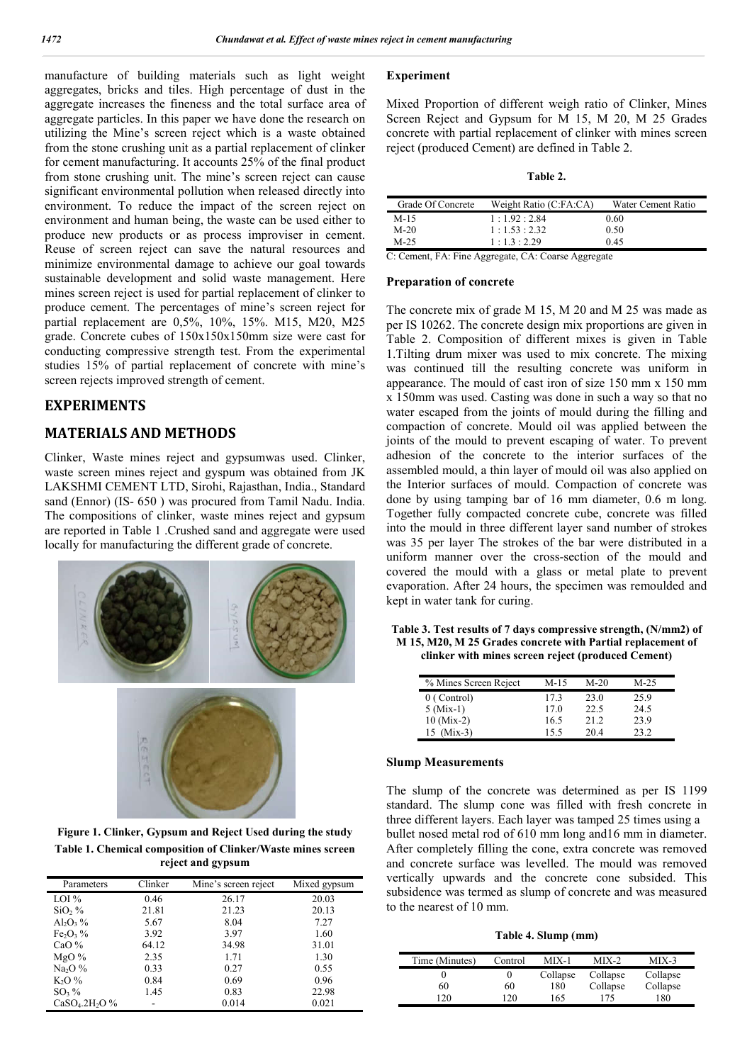manufacture of building materials such as light weight aggregates, bricks and tiles. High percentage of dust in the aggregate increases the fineness and the total surface area of aggregate particles. In this paper we have done the research on utilizing the Mine's screen reject which is a waste obtained from the stone crushing unit as a partial replacement of clinker for cement manufacturing. It accounts 25% of the final product from stone crushing unit. The mine's screen reject can cause significant environmental pollution when released directly into environment. To reduce the impact of the screen reject on environment and human being, the waste can be used either to produce new products or as process improviser in cement. Reuse of screen reject can save the natural resources and minimize environmental damage to achieve our goal towards sustainable development and solid waste management. Here mines screen reject is used for partial replacement of clinker to produce cement. The percentages of mine's screen reject for partial replacement are 0,5%, 10%, 15%. M15, M20, M25 grade. Concrete cubes of 150x150x150mm size were cast for conducting compressive strength test. From the experimental studies 15% of partial replacement of concrete with mine's screen rejects improved strength of cement.

# **EXPERIMENTS**

# **MATERIALS AND METHODS**

Clinker, Waste mines reject and gypsumwas used. Clinker, waste screen mines reject and gyspum was obtained from JK LAKSHMI CEMENT LTD, Sirohi, Rajasthan, India., Standard sand (Ennor) (IS- 650 ) was procured from Tamil Nadu. India. The compositions of clinker, waste mines reject and gypsum are reported in Table 1 .Crushed sand and aggregate were used locally for manufacturing the different grade of concrete.





**Figure 1. Clinker, Gypsum and Reject Used during the study Table 1. Chemical composition of Clinker/Waste mines screen reject and gypsum**

| Parameters                    | Clinker | Mine's screen reject | Mixed gypsum |
|-------------------------------|---------|----------------------|--------------|
| LOI %                         | 0.46    | 26.17                | 20.03        |
| SiO, %                        | 21.81   | 21.23                | 20.13        |
| $\mathrm{Al}_2\mathrm{O}_3\%$ | 5.67    | 8.04                 | 7.27         |
| $Fe2O3$ %                     | 3.92    | 3.97                 | 1.60         |
| CaO $%$                       | 64.12   | 34.98                | 31.01        |
| MgO%                          | 2.35    | 1.71                 | 1.30         |
| $Na2O$ %                      | 0.33    | 0.27                 | 0.55         |
| $K2O$ %                       | 0.84    | 0.69                 | 0.96         |
| $SO3$ %                       | 1.45    | 0.83                 | 22.98        |
| $CaSO4.2H2O$ %                |         | 0.014                | 0.021        |

#### **Experiment**

Mixed Proportion of different weigh ratio of Clinker, Mines Screen Reject and Gypsum for M 15, M 20, M 25 Grades concrete with partial replacement of clinker with mines screen reject (produced Cement) are defined in Table 2.

#### **Table 2.**

| Grade Of Concrete | Weight Ratio (C:FA:CA)  | Water Cement Ratio |
|-------------------|-------------------------|--------------------|
| M-15              | 1:1.92:2.84             | 0.60               |
| $M-20$            | 1:1.53:2.32             | 0.50               |
| $M-25$            | $1 \cdot 13 \cdot 2.29$ | 0.45               |

C: Cement, FA: Fine Aggregate, CA: Coarse Aggregate

#### **Preparation of concrete**

The concrete mix of grade M 15, M 20 and M 25 was made as per IS 10262. The concrete design mix proportions are given in Table 2. Composition of different mixes is given in Table 1.Tilting drum mixer was used to mix concrete. The mixing was continued till the resulting concrete was uniform in appearance. The mould of cast iron of size 150 mm x 150 mm x 150mm was used. Casting was done in such a way so that no water escaped from the joints of mould during the filling and compaction of concrete. Mould oil was applied between the joints of the mould to prevent escaping of water. To prevent adhesion of the concrete to the interior surfaces of the assembled mould, a thin layer of mould oil was also applied on the Interior surfaces of mould. Compaction of concrete was done by using tamping bar of 16 mm diameter, 0.6 m long. Together fully compacted concrete cube, concrete was filled into the mould in three different layer sand number of strokes was 35 per layer The strokes of the bar were distributed in a uniform manner over the cross-section of the mould and covered the mould with a glass or metal plate to prevent evaporation. After 24 hours, the specimen was remoulded and kept in water tank for curing.

**Table 3. Test results of 7 days compressive strength, (N/mm2) of M 15, M20, M 25 Grades concrete with Partial replacement of clinker with mines screen reject (produced Cement)**

| % Mines Screen Reject | M-15 | $M-20$ | $M-25$ |
|-----------------------|------|--------|--------|
| 0 (Control)           | 173  | 23.0   | 25.9   |
| $5 (Mix-1)$           | 17.0 | 22.5   | 24.5   |
| $10$ (Mix-2)          | 16.5 | 21.2   | 23.9   |
| $15$ (Mix-3)          | 155  | 20.4   | วว ว   |

#### **Slump Measurements**

The slump of the concrete was determined as per IS 1199 standard. The slump cone was filled with fresh concrete in three different layers. Each layer was tamped 25 times using a bullet nosed metal rod of 610 mm long and16 mm in diameter. After completely filling the cone, extra concrete was removed and concrete surface was levelled. The mould was removed vertically upwards and the concrete cone subsided. This subsidence was termed as slump of concrete and was measured to the nearest of 10 mm.

**Table 4. Slump (mm)**

| Time (Minutes) | Control | $MIX-1$  | $MIX-2$  | $MIX-3$  |
|----------------|---------|----------|----------|----------|
|                |         | Collapse | Collapse | Collapse |
| 60             | 60      | 180      | Collapse | Collapse |
| 20             | 20      | 165      | 175      | 180      |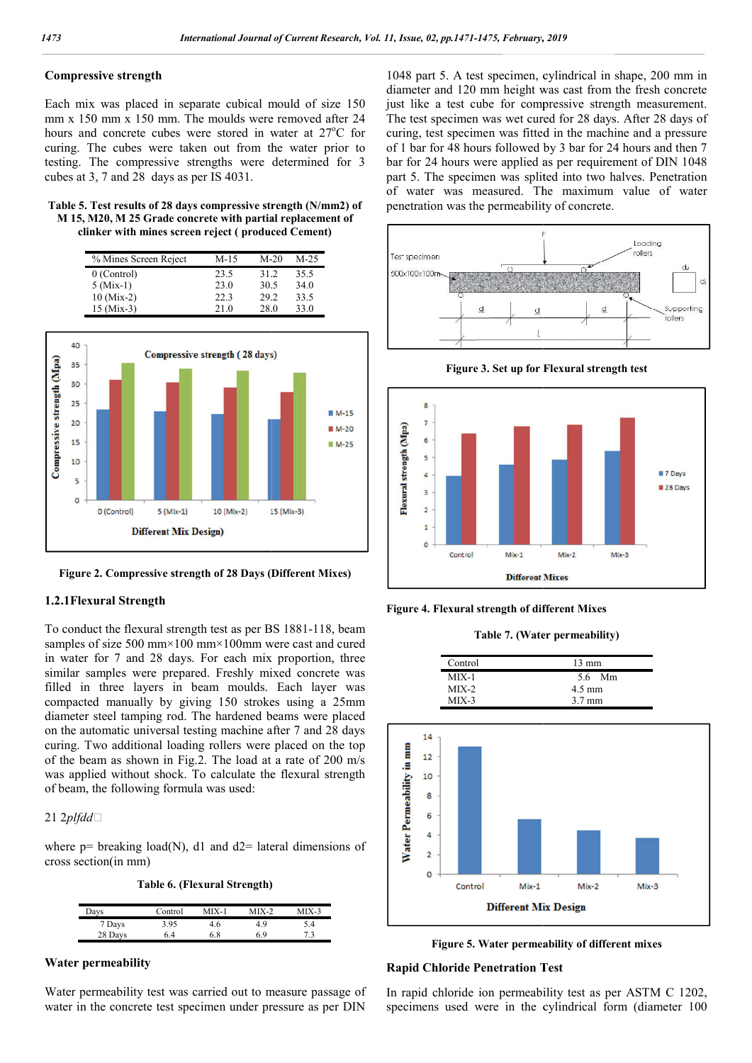### **Compressive strength**

Each mix was placed in separate cubical mould of size 150 mm x 150 mm x 150 mm. The moulds were removed after 24 hours and concrete cubes were stored in water at 27°C for curing. The cubes were taken out from the water prior to testing. The compressive strengths were determined for 3 cubes at 3, 7 and 28 days as per IS 4031.

| Table 5. Test results of 28 days compressive strength (N/mm2) of |
|------------------------------------------------------------------|
| M 15, M20, M 25 Grade concrete with partial replacement of       |
| clinker with mines screen reject (produced Cement)               |

| % Mines Screen Reject | M-15 | $M-20$ | $M-25$ |
|-----------------------|------|--------|--------|
| $0$ (Control)         | 23.5 | 31.2   | 35.5   |
| $5 (Mix-1)$           | 23.0 | 30.5   | 34.0   |
| $10 \, (Mix-2)$       | 22.3 | 29.2   | 33.5   |
| $15 \,(Mix-3)$        | 21.0 | 28.0   | 33.0   |



**Figure 2. Compressive strength of 28 Days (Different Mixes)**

#### **1.2.1Flexural Strength**

To conduct the flexural strength test as per BS 1881-118, beam samples of size 500 mm×100 mm×100mm were cast and cured in water for 7 and 28 days. For each mix proportion, three similar samples were prepared. Freshly mixed concrete was filled in three layers in beam moulds. Each layer was compacted manually by giving 150 strokes using a 25mm diameter steel tamping rod. The hardened beams were placed on the automatic universal testing machine after 7 and 28 days curing. Two additional loading rollers were placed on the top of the beam as shown in Fig.2. The load at a rate of 200 m/s was applied without shock. To calculate the flexural strength of beam, the following formula was used:

#### 21 2*plfdd*

where p= breaking load(N), d1 and d2= lateral dimensions of<br>
cross section(in mm)<br>
Table 6. (Flexural Strength)<br>  $\frac{1}{\text{days}}$  Control MIX-1 MIX-2 MIX-3 cross section(in mm)

**Table 6. (Flexural Strength)**

| Days    | Control | $MIX-1$ | $MIX-2$ | MIX-3 |
|---------|---------|---------|---------|-------|
| 7 Days  | 3.95    | 4.6     | 49      | 5.4   |
| 28 Days | 6.4     | 6.8     | 69      | 73    |

#### **Water permeability**

Water permeability test was carried out to measure passage of water in the concrete test specimen under pressure as per DIN

1048 part 5. A test specimen, cylindrical in shape, 200 mm in diameter and 120 mm height was cast from the fresh concrete just like a test cube for compressive strength measurement. The test specimen was wet cured for 28 days. After 28 days of curing, test specimen was fitted in the machine and a pressure of 1 bar for 48 hours followed by 3 bar for 24 hours and then 7 bar for 24 hours were applied as per requirement of DIN 1048 part 5. The specimen was splited into two halves. Penetration of water was measured. The maximum value of water penetration was the permeability of concrete. 1048 part 5. A test specimen, cylindrical in shape, 200 mm in diameter and 120 mm height was cast from the fresh concrete just like a test cube for compressive strength measurement. The test specimen was wet cured for 28 d







**Figure 4. Flexural strength of different Mixes Flexural strength of different Table 7.** 

**Table 7. (Water permeability)**

| Control | $13 \text{ mm}$  |
|---------|------------------|
| $MIX-1$ | 56 Mm            |
| $MIX-2$ | $4.5 \text{ mm}$ |
| $MIX-3$ | $3.7 \text{ mm}$ |



**Figure 5. Water permeability of different mixes**

# **Rapid Chloride Penetration Test Figure 5. permeability of Test**

In rapid chloride ion permeability test as per ASTM C 1202, specimens used were in the cylindrical form (diameter 100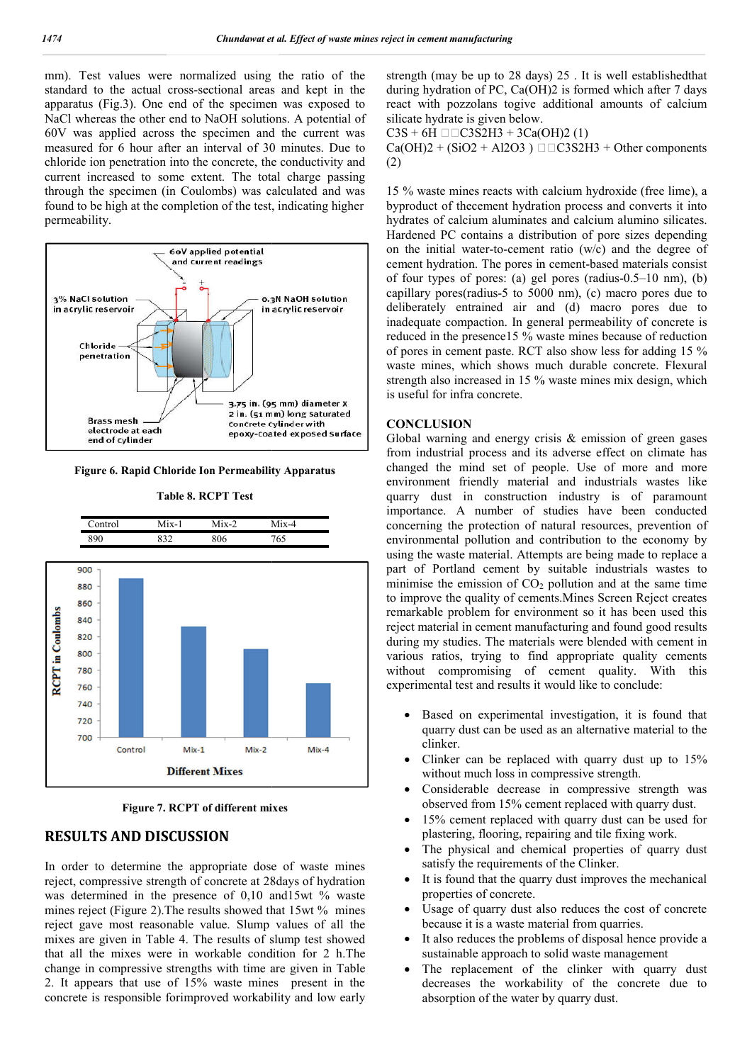mm). Test values were normalized using the ratio of the standard to the actual cross-sectional areas and kept in the apparatus (Fig.3). One end of the specimen was exposed to NaCl whereas the other end to NaOH solutions. A potential of 60V was applied across the specimen and the current was measured for 6 hour after an interval of 30 minutes. Due to chloride ion penetration into the concrete, the conductivity and current increased to some extent. The total charge passing through the specimen (in Coulombs) was calculated and was found to be high at the completion of the test, indicating higher permeability. I cross-sectional are<br>e end of the specin<br>er end to NaOH solu<br>oss the specimen a<br>after an interval of<br>on into the concrete,



**Figure 6. Rapid Chloride Ion Permeability Apparatus rmeability** 



**Table 8. RCPT Test**

**Figure 7. RCPT of different mixes**

# **RESULTS AND DISCUSSION**

In order to determine the appropriate dose of waste mines reject, compressive strength of concrete at 28days of hydration was determined in the presence of 0,10 and15wt % waste mines reject (Figure 2). The results showed that 15wt % mines reject gave most reasonable value. Slump values of all the mixes are given in Table 4. The results of slump test showed that all the mixes were in workable condition for 2 h.The change in compressive strengths with time are given in Table 2. It appears that use of 15% waste mines present in the concrete is responsible forimproved workability and low early during hydration of PC, Ca(OH)2 is formed which after 7 days strength (may be up to 28 days) 25. It is well established that<br>during hydration of PC, Ca(OH)2 is formed which after 7 days<br>react with pozzolans togive additional amounts of calcium silicate hydrate is given below.

 $C3S + 6H \Box$  $C3S2H3 + 3Ca(OH)2(1)$ 

 $Ca(OH)2 + (SiO2 + Al2O3) \square \square C3S2H3 + Other components$ (2)

15 % waste mines reacts with calcium hydroxide (free lime), a  $C3S + 6H \Box C3S2H3 + 3Ca(OH)2 (1)$ <br>Ca(OH)2 + (SiO2 + Al2O3)  $\Box C3S2H3$  + Other components<br>(2)<br>15 % waste mines reacts with calcium hydroxide (free lime), a<br>byproduct of thecement hydration process and converts it into hydrates of calcium aluminates and calcium alumino silicates. Hardened PC contains a distribution of pore sizes depending on the initial water-to-cement ratio (w/c) and the degree of cement hydration. The pores in cement-based materials consist of four types of pores: (a) gel pores (radius- $0.5-10$  nm), (b) capillary pores(radius-5 to  $5000$  nm), (c) macro pores due to deliberately entrained air and (d) macro pores due to inadequate compaction. In general permeability of concrete is reduced in the presence15 % waste mines because of reduction of pores in cement paste. RCT also show less for adding 15 % waste mines, which shows much durable concrete. Flexural strength also increased in 15 % waste mines mix design, which is useful for infra concrete. minates and calcium alumino silicates.<br>a distribution of pore sizes depending<br>cement ratio (w/c) and the degree of<br>pores in cement-based materials consist

### **CONCLUSION**

using the strength (may be up to 28 days) 25. It is well entablished that the strength (may be up to 28 days) 25 . It is well entablished that the strength (may be up to 28 days) and the current way be up to 28 the 12 Oct Global warning and energy crisis  $\&$  emission of green gases from industrial process and its adverse effect on climate has changed the mind set of people. Use of more and more environment friendly material and industrials wastes like quarry dust in construction industry is of paramount importance. A number of studies have been conducted concerning the protection of natural resources, prevention of environmental pollution and contribution to the economy by using the waste material. Attempts are being made to replace a part of Portland cement by suitable industrials wastes to part of Portland cement by suitable industrials wastes to minimise the emission of  $CO<sub>2</sub>$  pollution and at the same time to improve the quality of cements.Mines Screen Reject creates to improve the quality of cements. Mines Screen Reject creates remarkable problem for environment so it has been used this reject material in cement manufacturing and found good results during my studies. The materials were blended with cement in various ratios, trying to find appropriate quality cements without compromising of cement quality. With this experimental test and results it would like to conclude: quate compaction. In general permeability of concrete is<br>ed in the presence15 % waste mines because of reduction<br>res in cement paste. RCT also show less for adding 15 %<br>mines, which shows much durable concrete. Flexural<br>th material in cement manufacturing and found good results<br>my studies. The materials were blended with cement in<br>it compromising of cement quality. With this<br>mental test and results it would like to conclude:<br>Based on experim

- Based on experimental investigation, it is found that quarry dust can be used as an alternative material to the clinker.
- Clinker can be replaced with quarry dust up to 15% without much loss in compressive strength.
- Considerable decrease in compressive strength was observed from 15% cement replaced with quarry dust.
- 15% cement replaced with quarry dust can be used for plastering, flooring, repairing and tile fixing work.
- The physical and chemical properties of quarry dus satisfy the requirements of the Clinker.
- It is found that the quarry dust improves the mechanical properties of concrete. satisfy the requirements of the Clinker.<br>It is found that the quarry dust improves the mechanical<br>properties of concrete.<br>Usage of quarry dust also reduces the cost of concrete<br>because it is a waste material from quarries.
- Usage of quarry dust also reduces the cost of concrete because it is a waste material from quarries.
- It also reduces the problems of disposal hence provide a sustainable approach to solid waste management
- The replacement of the clinker with quarry dust decreases the workability of the concrete due to absorption of the water by quarry dust.